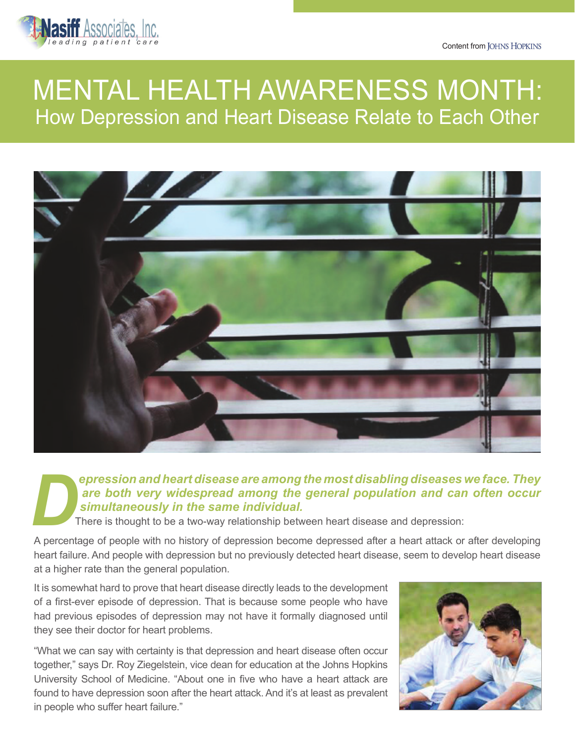Content from JOHNS HOPKINS



# MENTAL HEALTH AWARENESS MONTH: How Depression and Heart Disease Relate to Each Other



# *epression and heart disease are among the most disabling diseases we face. They are both very widespread among the general population and can often occur* **EXECUTE SIGN AND FIRE SIGN AND FIRE SIGN AND SIGNAL SIGNAL SIGNAL SIGNAL SIGNAL SIGNAL SIGNAL SIGNAL SIGNAL SIGNAL There is thought to be a two-way relationship between heart disease and depression:<br>A percentage of people**

A percentage of people with no history of depression become depressed after a heart attack or after developing heart failure. And people with depression but no previously detected heart disease, seem to develop heart disease at a higher rate than the general population.

It is somewhat hard to prove that heart disease directly leads to the development of a first-ever episode of depression. That is because some people who have had previous episodes of depression may not have it formally diagnosed until they see their doctor for heart problems.

"What we can say with certainty is that depression and heart disease often occur together," says Dr. Roy Ziegelstein, vice dean for education at the Johns Hopkins University School of Medicine. "About one in five who have a heart attack are found to have depression soon after the heart attack. And it's at least as prevalent in people who suffer heart failure."

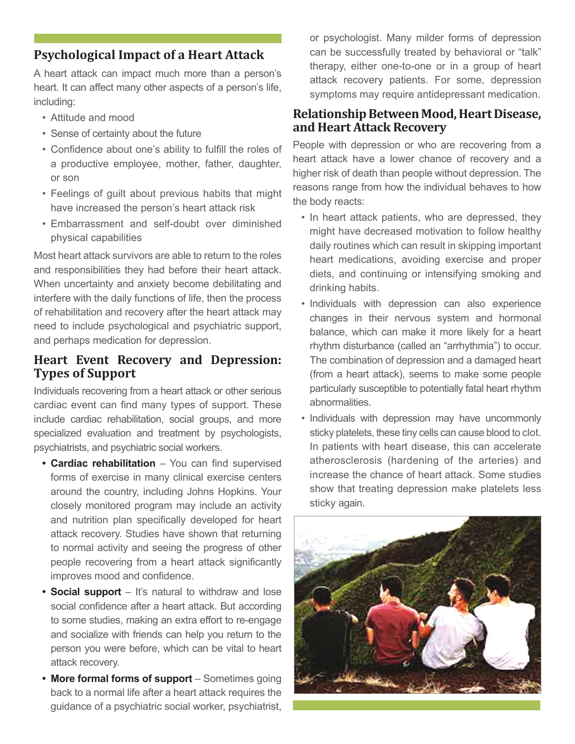## **Psychological Impact of a Heart Attack**

A heart attack can impact much more than a person's heart. It can affect many other aspects of a person's life, including:

- Attitude and mood
- Sense of certainty about the future
- Confidence about one's ability to fulfill the roles of a productive employee, mother, father, daughter, or son
- Feelings of guilt about previous habits that might have increased the person's heart attack risk
- Embarrassment and self-doubt over diminished physical capabilities

Most heart attack survivors are able to return to the roles and responsibilities they had before their heart attack. When uncertainty and anxiety become debilitating and interfere with the daily functions of life, then the process of rehabilitation and recovery after the heart attack may need to include psychological and psychiatric support, and perhaps medication for depression.

# **Heart Event Recovery and Depression: Types of Support**

Individuals recovering from a heart attack or other serious cardiac event can find many types of support. These include cardiac rehabilitation, social groups, and more specialized evaluation and treatment by psychologists, psychiatrists, and psychiatric social workers.

- **• Cardiac rehabilitation** You can find supervised forms of exercise in many clinical exercise centers around the country, including Johns Hopkins. Your closely monitored program may include an activity and nutrition plan specifically developed for heart attack recovery. Studies have shown that returning to normal activity and seeing the progress of other people recovering from a heart attack significantly improves mood and confidence.
- **Social support** It's natural to withdraw and lose social confidence after a heart attack. But according to some studies, making an extra effort to re-engage and socialize with friends can help you return to the person you were before, which can be vital to heart attack recovery.
- **• More formal forms of support** Sometimes going back to a normal life after a heart attack requires the guidance of a psychiatric social worker, psychiatrist,

or psychologist. Many milder forms of depression can be successfully treated by behavioral or "talk" therapy, either one-to-one or in a group of heart attack recovery patients. For some, depression symptoms may require antidepressant medication.

#### **Relationship Between Mood, Heart Disease, and Heart Attack Recovery**

People with depression or who are recovering from a heart attack have a lower chance of recovery and a higher risk of death than people without depression. The reasons range from how the individual behaves to how the body reacts:

- In heart attack patients, who are depressed, they might have decreased motivation to follow healthy daily routines which can result in skipping important heart medications, avoiding exercise and proper diets, and continuing or intensifying smoking and drinking habits.
- Individuals with depression can also experience changes in their nervous system and hormonal balance, which can make it more likely for a heart rhythm disturbance (called an "arrhythmia") to occur. The combination of depression and a damaged heart (from a heart attack), seems to make some people particularly susceptible to potentially fatal heart rhythm abnormalities.
- Individuals with depression may have uncommonly sticky platelets, these tiny cells can cause blood to clot. In patients with heart disease, this can accelerate atherosclerosis (hardening of the arteries) and increase the chance of heart attack. Some studies show that treating depression make platelets less sticky again.